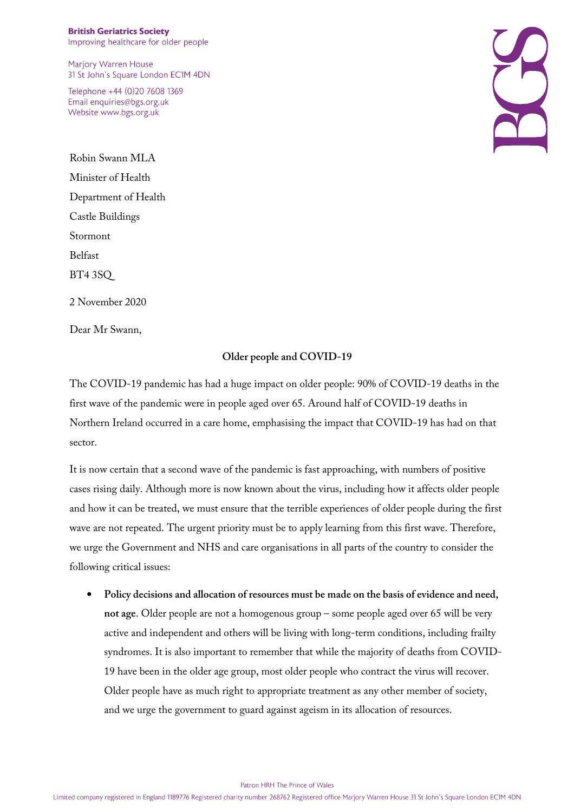Marjory Warren House 31 St John's Square London EC1M 4DN

Telephone +44 (0)20 7608 1369 Email enquiries@bgs.org.uk Website www.bgs.org.uk

Robin Swann MLA Minister of Health Department of Health Castle Buildings Stormont Belfast BT4 3SQ 2 November 2020

Dear Mr Swann,

## **Older people and COVID-19**

The COVID-19 pandemic has had a huge impact on older people: 90% of COVID-19 deaths in the first wave of the pandemic were in people aged over 65. Around half of COVID-19 deaths in Northern Ireland occurred in a care home, emphasising the impact that COVID-19 has had on that sector.

It is now certain that a second wave of the pandemic is fast approaching, with numbers of positive cases rising daily. Although more is now known about the virus, including how it affects older people and how it can be treated, we must ensure that the terrible experiences of older people during the first wave are not repeated. The urgent priority must be to apply learning from this first wave. Therefore, we urge the Government and NHS and care organisations in all parts of the country to consider the following critical issues:

• **Policy decisions and allocation of resources must be made on the basis of evidence and need, not age**. Older people are not a homogenous group – some people aged over 65 will be very active and independent and others will be living with long-term conditions, including frailty syndromes. It is also important to remember that while the majority of deaths from COVID-19 have been in the older age group, most older people who contract the virus will recover. Older people have as much right to appropriate treatment as any other member of society, and we urge the government to guard against ageism in its allocation of resources.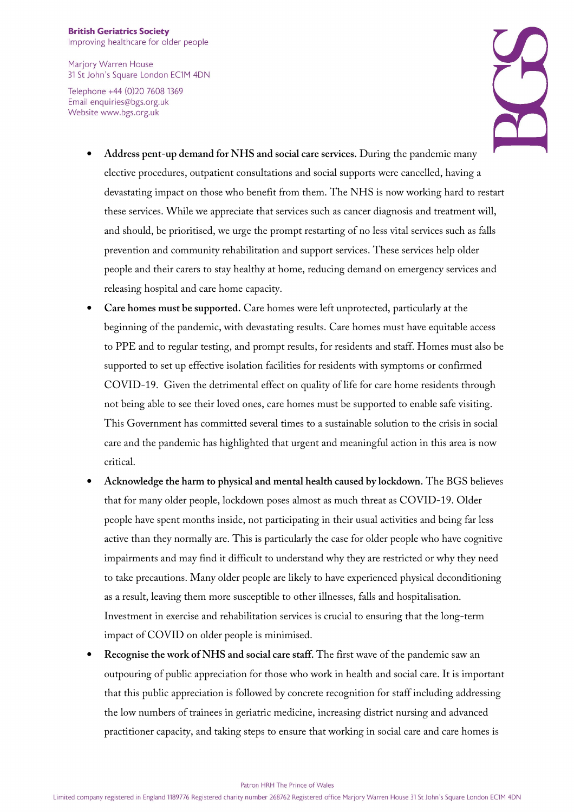Marjory Warren House 31 St John's Square London EC1M 4DN

Telephone +44 (0)20 7608 1369 Email enquiries@bgs.org.uk Website www.bgs.org.uk



- **Address pent-up demand for NHS and social care services.** During the pandemic many elective procedures, outpatient consultations and social supports were cancelled, having a devastating impact on those who benefit from them. The NHS is now working hard to restart these services. While we appreciate that services such as cancer diagnosis and treatment will, and should, be prioritised, we urge the prompt restarting of no less vital services such as falls prevention and community rehabilitation and support services. These services help older people and their carers to stay healthy at home, reducing demand on emergency services and releasing hospital and care home capacity.
- **Care homes must be supported.** Care homes were left unprotected, particularly at the beginning of the pandemic, with devastating results. Care homes must have equitable access to PPE and to regular testing, and prompt results, for residents and staff. Homes must also be supported to set up effective isolation facilities for residents with symptoms or confirmed COVID-19. Given the detrimental effect on quality of life for care home residents through not being able to see their loved ones, care homes must be supported to enable safe visiting. This Government has committed several times to a sustainable solution to the crisis in social care and the pandemic has highlighted that urgent and meaningful action in this area is now critical.
- **Acknowledge the harm to physical and mental health caused by lockdown.** The BGS believes that for many older people, lockdown poses almost as much threat as COVID-19. Older people have spent months inside, not participating in their usual activities and being far less active than they normally are. This is particularly the case for older people who have cognitive impairments and may find it difficult to understand why they are restricted or why they need to take precautions. Many older people are likely to have experienced physical deconditioning as a result, leaving them more susceptible to other illnesses, falls and hospitalisation. Investment in exercise and rehabilitation services is crucial to ensuring that the long-term impact of COVID on older people is minimised.
- **Recognise the work of NHS and social care staff.** The first wave of the pandemic saw an outpouring of public appreciation for those who work in health and social care. It is important that this public appreciation is followed by concrete recognition for staff including addressing the low numbers of trainees in geriatric medicine, increasing district nursing and advanced practitioner capacity, and taking steps to ensure that working in social care and care homes is